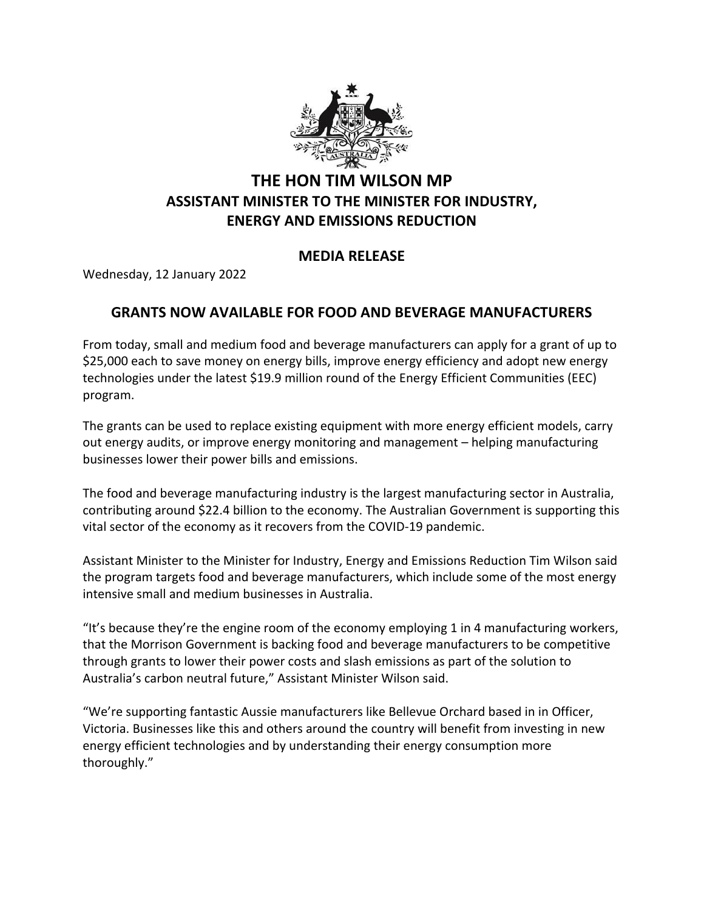

## **THE HON TIM WILSON MP ASSISTANT MINISTER TO THE MINISTER FOR INDUSTRY, ENERGY AND EMISSIONS REDUCTION**

## **MEDIA RELEASE**

Wednesday, 12 January 2022

## **GRANTS NOW AVAILABLE FOR FOOD AND BEVERAGE MANUFACTURERS**

From today, small and medium food and beverage manufacturers can apply for a grant of up to \$25,000 each to save money on energy bills, improve energy efficiency and adopt new energy technologies under the latest \$19.9 million round of the Energy Efficient Communities (EEC) program.

The grants can be used to replace existing equipment with more energy efficient models, carry out energy audits, or improve energy monitoring and management – helping manufacturing businesses lower their power bills and emissions.

The food and beverage manufacturing industry is the largest manufacturing sector in Australia, contributing around \$22.4 billion to the economy. The Australian Government is supporting this vital sector of the economy as it recovers from the COVID-19 pandemic.

Assistant Minister to the Minister for Industry, Energy and Emissions Reduction Tim Wilson said the program targets food and beverage manufacturers, which include some of the most energy intensive small and medium businesses in Australia.

"It's because they're the engine room of the economy employing 1 in 4 manufacturing workers, that the Morrison Government is backing food and beverage manufacturers to be competitive through grants to lower their power costs and slash emissions as part of the solution to Australia's carbon neutral future," Assistant Minister Wilson said.

"We're supporting fantastic Aussie manufacturers like Bellevue Orchard based in in Officer, Victoria. Businesses like this and others around the country will benefit from investing in new energy efficient technologies and by understanding their energy consumption more thoroughly."